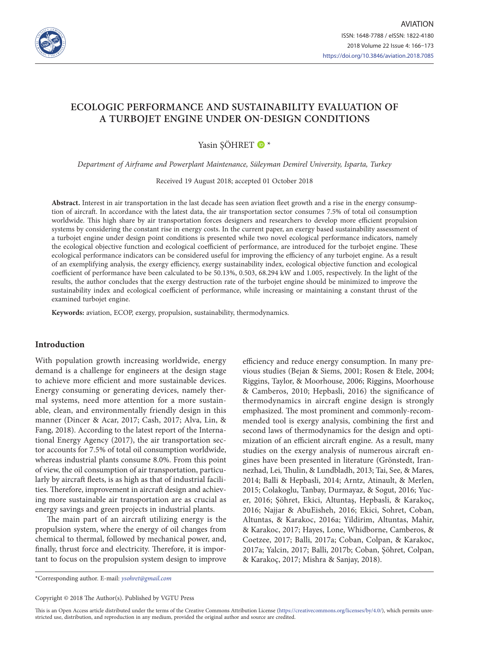

# **ECOLOGIC PERFORMANCE AND SUSTAINABILITY EVALUATION OF A TURBOJET ENGINE UNDER ON-DESIGN CONDITIONS**

# Yasin SÖHRET  $\bullet$ \*

*Department of Airframe and Powerplant Maintenance, Süleyman Demirel University, Isparta, Turkey*

Received 19 August 2018; accepted 01 October 2018

**Abstract.** Interest in air transportation in the last decade has seen aviation fleet growth and a rise in the energy consumption of aircraft. In accordance with the latest data, the air transportation sector consumes 7.5% of total oil consumption worldwide. This high share by air transportation forces designers and researchers to develop more efficient propulsion systems by considering the constant rise in energy costs. In the current paper, an exergy based sustainability assessment of a turbojet engine under design point conditions is presented while two novel ecological performance indicators, namely the ecological objective function and ecological coefficient of performance, are introduced for the turbojet engine. These ecological performance indicators can be considered useful for improving the efficiency of any turbojet engine. As a result of an exemplifying analysis, the exergy efficiency, exergy sustainability index, ecological objective function and ecological coefficient of performance have been calculated to be 50.13%, 0.503, 68.294 kW and 1.005, respectively. In the light of the results, the author concludes that the exergy destruction rate of the turbojet engine should be minimized to improve the sustainability index and ecological coefficient of performance, while increasing or maintaining a constant thrust of the examined turbojet engine.

**Keywords:** aviation, ECOP, exergy, propulsion, sustainability, thermodynamics.

## **Introduction**

With population growth increasing worldwide, energy demand is a challenge for engineers at the design stage to achieve more efficient and more sustainable devices. Energy consuming or generating devices, namely thermal systems, need more attention for a more sustainable, clean, and environmentally friendly design in this manner (Dincer & Acar, 2017; Cash, 2017; Alva, Lin, & Fang, 2018). According to the latest report of the International Energy Agency (2017), the air transportation sector accounts for 7.5% of total oil consumption worldwide, whereas industrial plants consume 8.0%. From this point of view, the oil consumption of air transportation, particularly by aircraft fleets, is as high as that of industrial facilities. Therefore, improvement in aircraft design and achieving more sustainable air transportation are as crucial as energy savings and green projects in industrial plants.

The main part of an aircraft utilizing energy is the propulsion system, where the energy of oil changes from chemical to thermal, followed by mechanical power, and, finally, thrust force and electricity. Therefore, it is important to focus on the propulsion system design to improve efficiency and reduce energy consumption. In many previous studies (Bejan & Siems, 2001; Rosen & Etele, 2004; Riggins, Taylor, & Moorhouse, 2006; Riggins, Moorhouse & Camberos, 2010; Hepbasli, 2016) the significance of thermodynamics in aircraft engine design is strongly emphasized. The most prominent and commonly-recommended tool is exergy analysis, combining the first and second laws of thermodynamics for the design and optimization of an efficient aircraft engine. As a result, many studies on the exergy analysis of numerous aircraft engines have been presented in literature (Grönstedt, Irannezhad, Lei, Thulin, & Lundbladh, 2013; Tai, See, & Mares, 2014; Balli & Hepbasli, 2014; Arntz, Atinault, & Merlen, 2015; Colakoglu, Tanbay, Durmayaz, & Sogut, 2016; Yucer, 2016; Şöhret, Ekici, Altuntaş, Hepbasli, & Karakoç, 2016; Najjar & AbuEisheh, 2016; Ekici, Sohret, Coban, Altuntas, & Karakoc, 2016a; Yildirim, Altuntas, Mahir, & Karakoc, 2017; Hayes, Lone, Whidborne, Camberos, & Coetzee, 2017; Balli, 2017a; Coban, Colpan, & Karakoc, 2017a; Yalcin, 2017; Balli, 2017b; Coban, Şöhret, Colpan, & Karakoç, 2017; Mishra & Sanjay, 2018).

This is an Open Access article distributed under the terms of the Creative Commons Attribution License [\(https://creativecommons.org/licenses/by/4.0/\)](http://creativecommons.org/licenses/by/4.0/), which permits unrestricted use, distribution, and reproduction in any medium, provided the original author and source are credited.

<sup>\*</sup>Corresponding author. E-mail: *[ysohret@gmail.com](mailto:ysohret@gmail.com)*

Copyright © 2018 The Author(s). Published by VGTU Press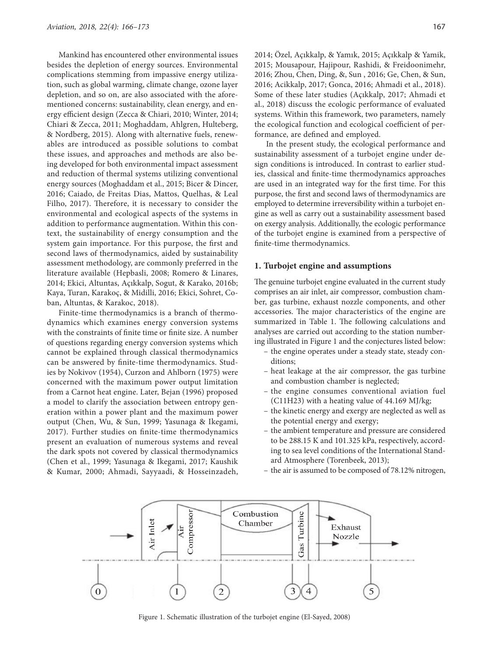Mankind has encountered other environmental issues besides the depletion of energy sources. Environmental complications stemming from impassive energy utilization, such as global warming, climate change, ozone layer depletion, and so on, are also associated with the aforementioned concerns: sustainability, clean energy, and energy efficient design (Zecca & Chiari, 2010; Winter, 2014; Chiari & Zecca, 2011; Moghaddam, Ahlgren, Hulteberg, & Nordberg, 2015). Along with alternative fuels, renewables are introduced as possible solutions to combat these issues, and approaches and methods are also being developed for both environmental impact assessment and reduction of thermal systems utilizing conventional energy sources (Moghaddam et al., 2015; Bicer & Dincer, 2016; Caiado, de Freitas Dias, Mattos, Quelhas, & Leal Filho, 2017). Therefore, it is necessary to consider the environmental and ecological aspects of the systems in addition to performance augmentation. Within this context, the sustainability of energy consumption and the system gain importance. For this purpose, the first and second laws of thermodynamics, aided by sustainability assessment methodology, are commonly preferred in the literature available (Hepbasli, 2008; Romero & Linares, 2014; Ekici, Altuntas, Açıkkalp, Sogut, & Karako, 2016b; Kaya, Turan, Karakoç, & Midilli, 2016; Ekici, Sohret, Coban, Altuntas, & Karakoc, 2018).

Finite-time thermodynamics is a branch of thermodynamics which examines energy conversion systems with the constraints of finite time or finite size. A number of questions regarding energy conversion systems which cannot be explained through classical thermodynamics can be answered by finite-time thermodynamics. Studies by Nokivov (1954), Curzon and Ahlborn (1975) were concerned with the maximum power output limitation from a Carnot heat engine. Later, Bejan (1996) proposed a model to clarify the association between entropy generation within a power plant and the maximum power output (Chen, Wu, & Sun, 1999; Yasunaga & Ikegami, 2017). Further studies on finite-time thermodynamics present an evaluation of numerous systems and reveal the dark spots not covered by classical thermodynamics (Chen et al., 1999; Yasunaga & Ikegami, 2017; Kaushik & Kumar, 2000; Ahmadi, Sayyaadi, & Hosseinzadeh, 2014; Özel, Açıkkalp, & Yamık, 2015; Açıkkalp & Yamik, 2015; Mousapour, Hajipour, Rashidi, & Freidoonimehr, 2016; Zhou, Chen, Ding, &, Sun , 2016; Ge, Chen, & Sun, 2016; Acikkalp, 2017; Gonca, 2016; Ahmadi et al., 2018). Some of these later studies (Açıkkalp, 2017; Ahmadi et al., 2018) discuss the ecologic performance of evaluated systems. Within this framework, two parameters, namely the ecological function and ecological coefficient of performance, are defined and employed.

In the present study, the ecological performance and sustainability assessment of a turbojet engine under design conditions is introduced. In contrast to earlier studies, classical and finite-time thermodynamics approaches are used in an integrated way for the first time. For this purpose, the first and second laws of thermodynamics are employed to determine irreversibility within a turbojet engine as well as carry out a sustainability assessment based on exergy analysis. Additionally, the ecologic performance of the turbojet engine is examined from a perspective of finite-time thermodynamics.

#### **1. Turbojet engine and assumptions**

The genuine turbojet engine evaluated in the current study comprises an air inlet, air compressor, combustion chamber, gas turbine, exhaust nozzle components, and other accessories. The major characteristics of the engine are summarized in Table 1. The following calculations and analyses are carried out according to the station numbering illustrated in Figure 1 and the conjectures listed below:

- the engine operates under a steady state, steady conditions;
- heat leakage at the air compressor, the gas turbine and combustion chamber is neglected;
- the engine consumes conventional aviation fuel (C11H23) with a heating value of 44.169 MJ/kg;
- the kinetic energy and exergy are neglected as well as the potential energy and exergy;
- the ambient temperature and pressure are considered to be 288.15 K and 101.325 kPa, respectively, according to sea level conditions of the International Standard Atmosphere (Torenbeek, 2013);
- the air is assumed to be composed of 78.12% nitrogen,



Figure 1. Schematic illustration of the turbojet engine (El-Sayed, 2008)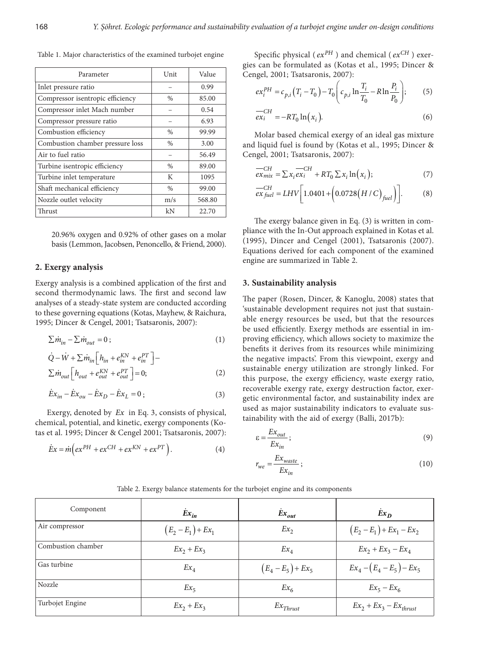| Parameter                        | Unit          | Value  |
|----------------------------------|---------------|--------|
| Inlet pressure ratio             |               | 0.99   |
| Compressor isentropic efficiency | $\frac{0}{0}$ | 85.00  |
| Compressor inlet Mach number     |               | 0.54   |
| Compressor pressure ratio        |               | 6.93   |
| Combustion efficiency            | $\frac{0}{0}$ | 99.99  |
| Combustion chamber pressure loss | $\frac{0}{0}$ | 3.00   |
| Air to fuel ratio                |               | 56.49  |
| Turbine isentropic efficiency    | $\%$          | 89.00  |
| Turbine inlet temperature        | K             | 1095   |
| Shaft mechanical efficiency      | $\frac{0}{0}$ | 99.00  |
| Nozzle outlet velocity           | m/s           | 568.80 |
| Thrust                           | kN            | 22.70  |

Table 1. Major characteristics of the examined turbojet engine

20.96% oxygen and 0.92% of other gases on a molar basis (Lemmon, Jacobsen, Penoncello, & Friend, 2000).

#### **2. Exergy analysis**

Exergy analysis is a combined application of the first and second thermodynamic laws. The first and second law analyses of a steady-state system are conducted according to these governing equations (Kotas, Mayhew, & Raichura, 1995; Dincer & Cengel, 2001; Tsatsaronis, 2007):

$$
\sum \dot{m}_{in} - \sum \dot{m}_{out} = 0 \tag{1}
$$

$$
\dot{Q} - \dot{W} + \sum \dot{m}_{in} \left[ h_{in} + e_{in}^{KN} + e_{in}^{PT} \right] -
$$
  
\n
$$
\sum \dot{m}_{out} \left[ h_{out} + e_{out}^{KN} + e_{out}^{PT} \right] = 0;
$$
\n(2)

$$
\dot{E}x_{in} - \dot{E}x_{ou} - \dot{E}x_D - \dot{E}x_L = 0 \, ; \tag{3}
$$

Exergy, denoted by *Ex* in Eq. 3, consists of physical, chemical, potential, and kinetic, exergy components (Kotas et al. 1995; Dincer & Cengel 2001; Tsatsaronis, 2007):

$$
\dot{E}x = \dot{m}\left(ex^{PH} + ex^{CH} + ex^{KN} + ex^{PT}\right). \tag{4}
$$

Specific physical ( $ex^{PH}$ ) and chemical ( $ex^{CH}$ ) exergies can be formulated as (Kotas et al., 1995; Dincer & Cengel, 2001; Tsatsaronis, 2007):

$$
ex_i^{PH} = c_{p,i} (T_i - T_0) - T_0 \left( c_{p,i} \ln \frac{T_i}{T_0} - R \ln \frac{P_i}{P_0} \right); \tag{5}
$$

$$
\overline{ex_i}^{CH} = -RT_0 \ln(x_i). \tag{6}
$$

Molar based chemical exergy of an ideal gas mixture and liquid fuel is found by (Kotas et al., 1995; Dincer & Cengel, 2001; Tsatsaronis, 2007):

$$
\frac{-CH}{ex_{mix}} = \sum x_i \frac{-CH}{ex_i} + RT_0 \sum x_i \ln(x_i); \tag{7}
$$

$$
\frac{-CH}{ex_{fuel}} = LHV \bigg[ 1.0401 + \bigg( 0.0728 \big( H/C \bigg)_{fuel} \bigg) \bigg]. \tag{8}
$$

The exergy balance given in Eq. (3) is written in compliance with the In-Out approach explained in Kotas et al. (1995), Dincer and Cengel (2001), Tsatsaronis (2007). Equations derived for each component of the examined engine are summarized in Table 2.

#### **3. Sustainability analysis**

The paper (Rosen, Dincer, & Kanoglu, 2008) states that 'sustainable development requires not just that sustainable energy resources be used, but that the resources be used efficiently. Exergy methods are essential in improving efficiency, which allows society to maximize the benefits it derives from its resources while minimizing the negative impacts'. From this viewpoint, exergy and sustainable energy utilization are strongly linked. For this purpose, the exergy efficiency, waste exergy ratio, recoverable exergy rate, exergy destruction factor, exergetic environmental factor, and sustainability index are used as major sustainability indicators to evaluate sustainability with the aid of exergy (Balli, 2017b):

$$
\varepsilon = \frac{Ex_{out}}{Ex_{in}} \, ; \tag{9}
$$

$$
r_{we} = \frac{Ex_{waste}}{Ex_{in}};
$$
\n(10)

| Component          | $Ex_{in}$            | $Ex_{out}$           | $Ex_{D}$                    |  |
|--------------------|----------------------|----------------------|-----------------------------|--|
| Air compressor     | $(E_2 - E_1) + Ex_1$ | $Ex_{2}$             | $(E_2 - E_1) + Ex_1 - Ex_2$ |  |
| Combustion chamber | $Ex_2 + Ex_3$        | $Ex_4$               | $Ex_2 + Ex_3 - Ex_4$        |  |
| Gas turbine        | $Ex_{4}$             | $(E_4 - E_5) + Ex_5$ | $Ex_4 - (E_4 - E_5) - Ex_5$ |  |
| Nozzle             | $Ex_{5}$             | $Ex_{6}$             | $Ex_5 - Ex_6$               |  |
| Turbojet Engine    | $Ex_2 + Ex_3$        | $Ex_{Thrust}$        | $Ex_2 + Ex_3 - Ex_{thrust}$ |  |

Table 2. Exergy balance statements for the turbojet engine and its components

*r*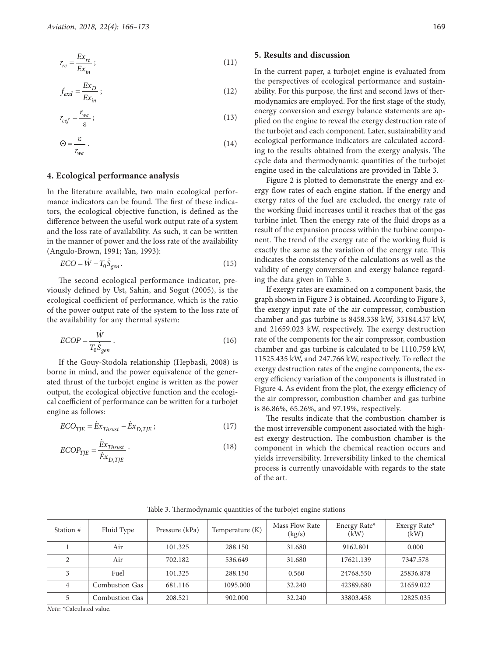$$
r_{re} = \frac{Ex_{re}}{Ex_{in}} \, ; \tag{11}
$$

$$
f_{exd} = \frac{Ex_D}{Ex_{in}} \, ; \tag{12}
$$

$$
r_{eef} = \frac{r_{we}}{\varepsilon} \tag{13}
$$

$$
\Theta = \frac{\varepsilon}{r_{we}} \,. \tag{14}
$$

## **4. Ecological performance analysis**

In the literature available, two main ecological performance indicators can be found. The first of these indicators, the ecological objective function, is defined as the difference between the useful work output rate of a system and the loss rate of availability. As such, it can be written in the manner of power and the loss rate of the availability (Angulo-Brown, 1991; Yan, 1993):

$$
ECO = \dot{W} - T_0 \dot{S}_{gen} \,. \tag{15}
$$

The second ecological performance indicator, previously defined by Ust, Sahin, and Sogut (2005), is the ecological coefficient of performance, which is the ratio of the power output rate of the system to the loss rate of the availability for any thermal system:

$$
ECOP = \frac{\dot{W}}{T_0 \dot{S}_{gen}}.
$$
 (16)

If the Gouy-Stodola relationship (Hepbasli, 2008) is borne in mind, and the power equivalence of the generated thrust of the turbojet engine is written as the power output, the ecological objective function and the ecological coefficient of performance can be written for a turbojet engine as follows:

$$
ECO_{TJE} = \dot{E}x_{Thrust} - \dot{E}x_{D, TJE} ;
$$
\n(17)

$$
ECOP_{TJE} = \frac{\dot{E}x_{Thrust}}{\dot{E}x_{D, TJE}} \tag{18}
$$

#### **5. Results and discussion**

In the current paper, a turbojet engine is evaluated from the perspectives of ecological performance and sustainability. For this purpose, the first and second laws of thermodynamics are employed. For the first stage of the study, energy conversion and exergy balance statements are applied on the engine to reveal the exergy destruction rate of the turbojet and each component. Later, sustainability and ecological performance indicators are calculated according to the results obtained from the exergy analysis. The cycle data and thermodynamic quantities of the turbojet engine used in the calculations are provided in Table 3.

Figure 2 is plotted to demonstrate the energy and exergy flow rates of each engine station. If the energy and exergy rates of the fuel are excluded, the energy rate of the working fluid increases until it reaches that of the gas turbine inlet. Then the energy rate of the fluid drops as a result of the expansion process within the turbine component. The trend of the exergy rate of the working fluid is exactly the same as the variation of the energy rate. This indicates the consistency of the calculations as well as the validity of energy conversion and exergy balance regarding the data given in Table 3.

If exergy rates are examined on a component basis, the graph shown in Figure 3 is obtained. According to Figure 3, the exergy input rate of the air compressor, combustion chamber and gas turbine is 8458.338 kW, 33184.457 kW, and 21659.023 kW, respectively. The exergy destruction rate of the components for the air compressor, combustion chamber and gas turbine is calculated to be 1110.759 kW, 11525.435 kW, and 247.766 kW, respectively. To reflect the exergy destruction rates of the engine components, the exergy efficiency variation of the components is illustrated in Figure 4. As evident from the plot, the exergy efficiency of the air compressor, combustion chamber and gas turbine is 86.86%, 65.26%, and 97.19%, respectively.

The results indicate that the combustion chamber is the most irreversible component associated with the highest exergy destruction. The combustion chamber is the component in which the chemical reaction occurs and yields irreversibility. Irreversibility linked to the chemical process is currently unavoidable with regards to the state of the art.

| Station #              | Fluid Type            | Pressure (kPa) | Temperature (K) | Mass Flow Rate<br>(kg/s) | Energy Rate*<br>(kW) | Exergy Rate*<br>(kW) |
|------------------------|-----------------------|----------------|-----------------|--------------------------|----------------------|----------------------|
|                        | Air                   | 101.325        | 288.150         | 31.680                   | 9162.801             | 0.000                |
| $\mathcal{D}_{\alpha}$ | Air                   | 702.182        | 536.649         | 31.680                   | 17621.139            | 7347.578             |
| 3                      | Fuel                  | 101.325        | 288.150         | 0.560                    | 24768.550            | 25836.878            |
| 4                      | Combustion Gas        | 681.116        | 1095.000        | 32.240                   | 42389.680            | 21659.022            |
| 5                      | <b>Combustion Gas</b> | 208.521        | 902.000         | 32.240                   | 33803.458            | 12825.035            |

Table 3. Thermodynamic quantities of the turbojet engine stations

*Note*: \*Calculated value.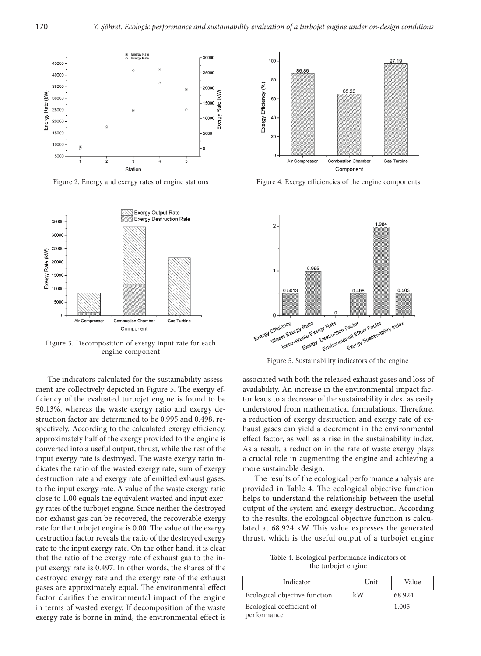

Figure 2. Energy and exergy rates of engine stations



Figure 3. Decomposition of exergy input rate for each engine component

The indicators calculated for the sustainability assessment are collectively depicted in Figure 5. The exergy efficiency of the evaluated turbojet engine is found to be 50.13%, whereas the waste exergy ratio and exergy destruction factor are determined to be 0.995 and 0.498, respectively. According to the calculated exergy efficiency, approximately half of the exergy provided to the engine is converted into a useful output, thrust, while the rest of the input exergy rate is destroyed. The waste exergy ratio indicates the ratio of the wasted exergy rate, sum of exergy destruction rate and exergy rate of emitted exhaust gases, to the input exergy rate. A value of the waste exergy ratio close to 1.00 equals the equivalent wasted and input exergy rates of the turbojet engine. Since neither the destroyed nor exhaust gas can be recovered, the recoverable exergy rate for the turbojet engine is 0.00. The value of the exergy destruction factor reveals the ratio of the destroyed exergy rate to the input exergy rate. On the other hand, it is clear that the ratio of the exergy rate of exhaust gas to the input exergy rate is 0.497. In other words, the shares of the destroyed exergy rate and the exergy rate of the exhaust gases are approximately equal. The environmental effect factor clarifies the environmental impact of the engine in terms of wasted exergy. If decomposition of the waste exergy rate is borne in mind, the environmental effect is



Figure 4. Exergy efficiencies of the engine components



Figure 5. Sustainability indicators of the engine

associated with both the released exhaust gases and loss of availability. An increase in the environmental impact factor leads to a decrease of the sustainability index, as easily understood from mathematical formulations. Therefore, a reduction of exergy destruction and exergy rate of exhaust gases can yield a decrement in the environmental effect factor, as well as a rise in the sustainability index. As a result, a reduction in the rate of waste exergy plays a crucial role in augmenting the engine and achieving a more sustainable design.

The results of the ecological performance analysis are provided in Table 4. The ecological objective function helps to understand the relationship between the useful output of the system and exergy destruction. According to the results, the ecological objective function is calculated at 68.924 kW. This value expresses the generated thrust, which is the useful output of a turbojet engine

Table 4. Ecological performance indicators of the turbojet engine

| Indicator                                | Unit | Value  |
|------------------------------------------|------|--------|
| Ecological objective function            | kW   | 68.924 |
| Ecological coefficient of<br>performance |      | 1.005  |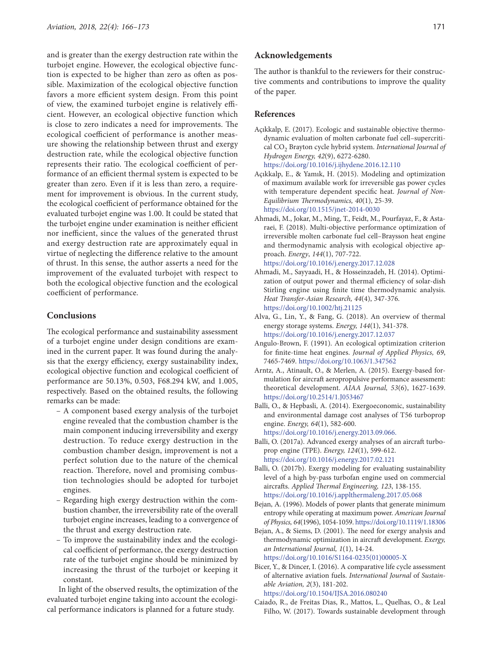and is greater than the exergy destruction rate within the turbojet engine. However, the ecological objective function is expected to be higher than zero as often as possible. Maximization of the ecological objective function favors a more efficient system design. From this point of view, the examined turbojet engine is relatively efficient. However, an ecological objective function which is close to zero indicates a need for improvements. The ecological coefficient of performance is another measure showing the relationship between thrust and exergy destruction rate, while the ecological objective function represents their ratio. The ecological coefficient of performance of an efficient thermal system is expected to be greater than zero. Even if it is less than zero, a requirement for improvement is obvious. In the current study, the ecological coefficient of performance obtained for the evaluated turbojet engine was 1.00. It could be stated that the turbojet engine under examination is neither efficient nor inefficient, since the values of the generated thrust and exergy destruction rate are approximately equal in virtue of neglecting the difference relative to the amount of thrust. In this sense, the author asserts a need for the improvement of the evaluated turbojet with respect to both the ecological objective function and the ecological coefficient of performance.

# **Conclusions**

The ecological performance and sustainability assessment of a turbojet engine under design conditions are examined in the current paper. It was found during the analysis that the exergy efficiency, exergy sustainability index, ecological objective function and ecological coefficient of performance are 50.13%, 0.503, F68.294 kW, and 1.005, respectively. Based on the obtained results, the following remarks can be made:

- A component based exergy analysis of the turbojet engine revealed that the combustion chamber is the main component inducing irreversibility and exergy destruction. To reduce exergy destruction in the combustion chamber design, improvement is not a perfect solution due to the nature of the chemical reaction. Therefore, novel and promising combustion technologies should be adopted for turbojet engines.
- Regarding high exergy destruction within the combustion chamber, the irreversibility rate of the overall turbojet engine increases, leading to a convergence of the thrust and exergy destruction rate.
- To improve the sustainability index and the ecological coefficient of performance, the exergy destruction rate of the turbojet engine should be minimized by increasing the thrust of the turbojet or keeping it constant.

In light of the observed results, the optimization of the evaluated turbojet engine taking into account the ecological performance indicators is planned for a future study.

## **Acknowledgements**

The author is thankful to the reviewers for their constructive comments and contributions to improve the quality of the paper.

#### **References**

- Açıkkalp, E. (2017). Ecologic and sustainable objective thermodynamic evaluation of molten carbonate fuel cell–supercritical CO2 Brayton cycle hybrid system. *International Journal of Hydrogen Energy, 42*(9), 6272-6280. <https://doi.org/10.1016/j.ijhydene.2016.12.110>
- Açıkkalp, E., & Yamık, H. (2015). Modeling and optimization of maximum available work for irreversible gas power cycles with temperature dependent specific heat. *Journal of Non-Equilibrium Thermodynamics, 40*(1), 25-39. <https://doi.org/10.1515/jnet-2014-0030>
- Ahmadi, M., Jokar, M., Ming, T., Feidt, M., Pourfayaz, F., & Astaraei, F. (2018). Multi-objective performance optimization of irreversible molten carbonate fuel cell–Braysson heat engine and thermodynamic analysis with ecological objective approach. *Energy*, *144*(1), 707-722.

<https://doi.org/10.1016/j.energy.2017.12.028>

- Ahmadi, M., Sayyaadi, H., & Hosseinzadeh, H. (2014). Optimization of output power and thermal efficiency of solar-dish Stirling engine using finite time thermodynamic analysis. *Heat Transfer-Asian Research, 44*(4), 347-376. <https://doi.org/10.1002/htj.21125>
- Alva, G., Lin, Y., & Fang, G. (2018). An overview of thermal energy storage systems. *Energy, 144*(1), 341-378. https://doi.org/10.1016/j.energy.2017.12.037
- Angulo‐Brown, F. (1991). An ecological optimization criterion for finite‐time heat engines. *Journal of Applied Physics, 69*, 7465-7469. <https://doi.org/10.1063/1.347562>
- Arntz, A., Atinault, O., & Merlen, A. (2015). Exergy-based formulation for aircraft aeropropulsive performance assessment: theoretical development. *AIAA Journal, 53*(6), 1627-1639. <https://doi.org/10.2514/1.J053467>
- Balli, O., & Hepbasli, A. (2014). Exergoeconomic, sustainability and environmental damage cost analyses of T56 turboprop engine. *Energy, 64*(1), 582-600. <https://doi.org/10.1016/j.energy.2013.09.066>.
- Balli, O. (2017a). Advanced exergy analyses of an aircraft turboprop engine (TPE). *Energy, 124*(1), 599-612. <https://doi.org/10.1016/j.energy.2017.02.121>
- Balli, O. (2017b). Exergy modeling for evaluating sustainability level of a high by-pass turbofan engine used on commercial aircrafts. *Applied Thermal Engineering, 123*, 138-155. <https://doi.org/10.1016/j.applthermaleng.2017.05.068>
- Bejan, A. (1996). Models of power plants that generate minimum entropy while operating at maximum power. *American Journal of Physics, 64*(1996), 1054-1059.<https://doi.org/10.1119/1.18306>
- Bejan, A., & Siems, D. (2001). The need for exergy analysis and thermodynamic optimization in aircraft development. *Exergy, an International Journal, 1*(1), 14-24. [https://doi.org/10.1016/S1164-0235\(01\)00005-X](https://doi.org/10.1016/S1164-0235(01)00005-X)
- Bicer, Y., & Dincer, I. (2016). A comparative life cycle assessment of alternative aviation fuels. *International Journal* of *Sustainable Aviation, 2*(3), 181-202.

<https://doi.org/10.1504/IJSA.2016.080240>

Caiado, R., de Freitas Dias, R., Mattos, L., Quelhas, O., & Leal Filho, W. (2017). Towards sustainable development through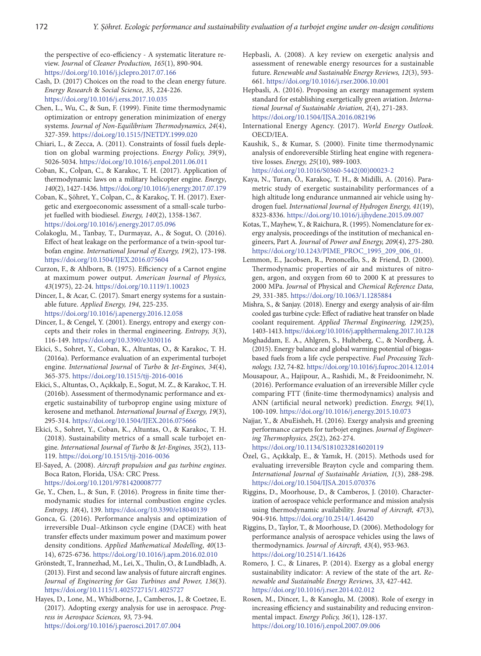the perspective of eco-efficiency - A systematic literature review. *Journal* of *Cleaner Production, 165*(1), 890-904. <https://doi.org/10.1016/j.jclepro.2017.07.166>

Cash, D. (2017) Choices on the road to the clean energy future. *Energy Research* & *Social Science*, *35*, 224-226. <https://doi.org/10.1016/j.erss.2017.10.035>

Chen, L., Wu, C., & Sun, F. (1999). Finite time thermodynamic optimization or entropy generation minimization of energy systems. *Journal of Non-Equilibrium Thermodynamics, 24*(4), 327-359.<https://doi.org/10.1515/JNETDY.1999.020>

- Chiari, L., & Zecca, A. (2011). Constraints of fossil fuels depletion on global warming projections. *Energy Policy, 39*(9), 5026-5034. <https://doi.org/10.1016/j.enpol.2011.06.011>
- Coban, K., Colpan, C., & Karakoc, T. H. (2017). Application of thermodynamic laws on a military helicopter engine. *Energy*, *140*(2), 1427-1436. <https://doi.org/10.1016/j.energy.2017.07.179>

Coban, K., Şöhret, Y., Colpan, C., & Karakoç, T. H. (2017). Exergetic and exergoeconomic assessment of a small-scale turbojet fuelled with biodiesel. *Energy, 140*(2), 1358-1367. <https://doi.org/10.1016/j.energy.2017.05.096>

- Colakoglu, M., Tanbay, T., Durmayaz, A., & Sogut, O. (2016). Effect of heat leakage on the performance of a twin-spool turbofan engine. *International Journal of Exergy, 19*(2), 173-198. <https://doi.org/10.1504/IJEX.2016.075604>
- Curzon, F., & Ahlborn, B. (1975). Efficiency of a Carnot engine at maximum power output. *American Journal of Physics, 43*(1975), 22-24.<https://doi.org/10.1119/1.10023>

Dincer, I., & Acar, C. (2017). Smart energy systems for a sustainable future. *Applied Energy, 194*, 225-235.

<https://doi.org/10.1016/j.apenergy.2016.12.058>

Dincer, I., & Cengel, Y. (2001). Energy, entropy and exergy concepts and their roles in thermal engineering. *Entropy, 3*(3), 116-149.<https://doi.org/10.3390/e3030116>

- Ekici, S., Sohret, Y., Coban, K., Altuntas, O., & Karakoc, T. H. (2016a). Performance evaluation of an experimental turbojet engine. *International Journal* of *Turbo* & *Jet-Engines, 34*(4), 365-375.<https://doi.org/10.1515/tjj-2016-0016>
- Ekici, S., Altuntas, O., Açıkkalp, E., Sogut, M. Z., & Karakoc, T. H. (2016b). Assessment of thermodynamic performance and exergetic sustainability of turboprop engine using mixture of kerosene and methanol. *International Journal of Exergy, 19*(3), 295-314.<https://doi.org/10.1504/IJEX.2016.075666>
- Ekici, S., Sohret, Y., Coban, K., Altuntas, O., & Karakoc, T. H. (2018). Sustainability metrics of a small scale turbojet engine. *International Journal of Turbo* & *Jet-Engines, 35*(2), 113- 119. <https://doi.org/10.1515/tjj-2016-0036>

El-Sayed, A. (2008). *Aircraft propulsion and gas turbine engines*. Boca Raton, Florida, USA: CRC Press. <https://doi.org/10.1201/9781420008777>

Ge, Y., Chen, L., & Sun, F. (2016). Progress in finite time thermodynamic studies for internal combustion engine cycles. *Entropy, 18*(4), 139. <https://doi.org/10.3390/e18040139>

Gonca, G. (2016). Performance analysis and optimization of irreversible Dual–Atkinson cycle engine (DACE) with heat transfer effects under maximum power and maximum power density conditions. *Applied Mathematical Modelling*, *40*(13- 14), 6725-6736. <https://doi.org/10.1016/j.apm.2016.02.010>

Grönstedt, T., Irannezhad, M., Lei, X., Thulin, O., & Lundbladh, A. (2013). First and second law analysis of future aircraft engines. *Journal of Engineering for Gas Turbines and Power, 136*(3). <https://doi.org/10.1115/1.4025727>15/1.4025727

Hayes, D., Lone, M., Whidborne, J., Camberos, J., & Coetzee, E. (2017). Adopting exergy analysis for use in aerospace. *Progress in Aerospace Sciences, 93,* 73-94. <https://doi.org/10.1016/j.paerosci.2017.07.004>

- Hepbasli, A. (2008). A key review on exergetic analysis and assessment of renewable energy resources for a sustainable future. *Renewable and Sustainable Energy Reviews, 12*(3), 593- 661. <https://doi.org/10.1016/j.rser.2006.10.001>
- Hepbasli, A. (2016). Proposing an exergy management system standard for establishing exergetically green aviation. *International Journal of Sustainable Aviation, 2*(4), 271-283. <https://doi.org/10.1504/IJSA.2016.082196>
- International Energy Agency. (2017). *World Energy Outlook.* OECD/IEA.

Kaushik, S., & Kumar, S. (2000). Finite time thermodynamic analysis of endoreversible Stirling heat engine with regenerative losses. *Energy, 25*(10), 989-1003. [https://doi.org/10.1016/S0360-5442\(00\)00023-2](https://doi.org/10.1016/S0360-5442(00)00023-2)

- Kaya, N., Turan, Ö., Karakoç, T. H., & Midilli, A. (2016). Parametric study of exergetic sustainability performances of a high altitude long endurance unmanned air vehicle using hydrogen fuel. *International Journal of Hydrogen Energy, 41*(19), 8323-8336. <https://doi.org/10.1016/j.ijhydene.2015.09.007>
- Kotas, T., Mayhew, Y., & Raichura, R. (1995). Nomenclature for exergy analysis, proceedings of the institution of mechanical engineers, Part A. *Journal* of *Power and Energy, 209*(4), 275-280. [https://doi.org/10.1243/PIME\\_PROC\\_1995\\_209\\_006\\_01](https://doi.org/10.1243/PIME_PROC_1995_209_006_01).
- Lemmon, E., Jacobsen, R., Penoncello, S., & Friend, D. (2000). Thermodynamic properties of air and mixtures of nitrogen, argon, and oxygen from 60 to 2000 K at pressures to 2000 MPa. *Journal* of Physical and *Chemical Reference Data, 29*, 331-385.<https://doi.org/10.1063/1.1285884>
- Mishra, S., & Sanjay. (2018). Energy and exergy analysis of air-film cooled gas turbine cycle: Effect of radiative heat transfer on blade coolant requirement. *Applied Thermal Engineering, 129*(25), 1403-1413.<https://doi.org/10.1016/j.applthermaleng.2017.10.128>
- Moghaddam, E. A., Ahlgren, S., Hulteberg, C., & Nordberg, Å. (2015). Energy balance and global warming potential of biogasbased fuels from a life cycle perspective. *Fuel Processing Technology, 132*, 74-82. <https://doi.org/10.1016/j.fuproc.2014.12.014>
- Mousapour, A., Hajipour, A., Rashidi, M., & Freidoonimehr, N. (2016). Performance evaluation of an irreversible Miller cycle comparing FTT (finite-time thermodynamics) analysis and ANN (artificial neural network) prediction. *Energy, 94*(1), 100-109. <https://doi.org/10.1016/j.energy.2015.10.073>
- Najjar, Y., & AbuEisheh, H. (2016). Exergy analysis and greening performance carpets for turbojet engines. *Journal of Engineering Thermophysics, 25*(2), 262-274. <https://doi.org/10.1134/S1810232816020119>
- Özel, G., Açıkkalp, E., & Yamık, H. (2015). Methods used for evaluating irreversible Brayton cycle and comparing them. *International Journal of Sustainable Aviation, 1*(3), 288-298. <https://doi.org/10.1504/IJSA.2015.070376>
- Riggins, D., Moorhouse, D., & Camberos, J. (2010). Characterization of aerospace vehicle performance and mission analysis using thermodynamic availability. *Journal of Aircraft, 47*(3), 904-916. <https://doi.org/10.2514/1.46420>
- Riggins, D., Taylor, T., & Moorhouse, D. (2006). Methodology for performance analysis of aerospace vehicles using the laws of thermodynamics. *Journal of Aircraft, 43*(4), 953-963. <https://doi.org/10.2514/1.16426>
- Romero, J. C., & Linares, P. (2014). Exergy as a global energy sustainability indicator: A review of the state of the art. *Renewable and Sustainable Energy Reviews, 33*, 427-442. <https://doi.org/10.1016/j.rser.2014.02.012>
- Rosen, M., Dincer, I., & Kanoglu, M. (2008). Role of exergy in increasing efficiency and sustainability and reducing environmental impact. *Energy Policy, 36*(1), 128-137. <https://doi.org/10.1016/j.enpol.2007.09.006>